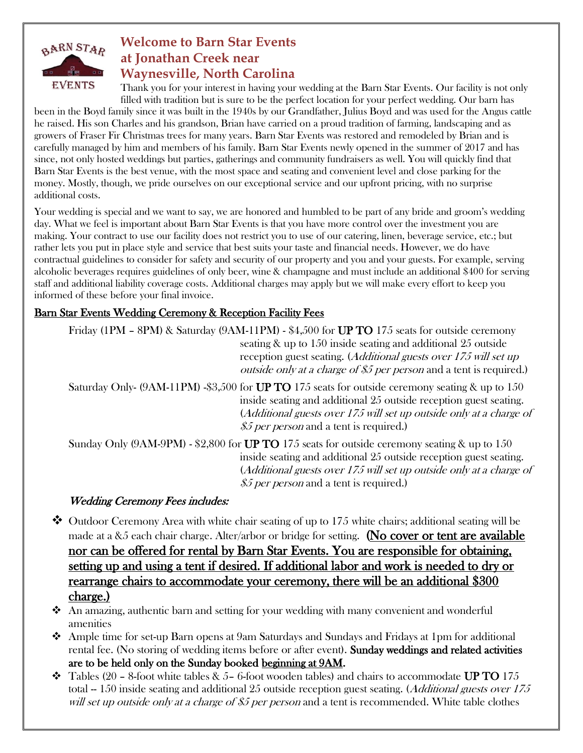

# **Welcome to Barn Star Events at Jonathan Creek near Waynesville, North Carolina**

Thank you for your interest in having your wedding at the Barn Star Events. Our facility is not only filled with tradition but is sure to be the perfect location for your perfect wedding. Our barn has

been in the Boyd family since it was built in the 1940s by our Grandfather, Julius Boyd and was used for the Angus cattle he raised. His son Charles and his grandson, Brian have carried on a proud tradition of farming, landscaping and as growers of Fraser Fir Christmas trees for many years. Barn Star Events was restored and remodeled by Brian and is carefully managed by him and members of his family. Barn Star Events newly opened in the summer of 2017 and has since, not only hosted weddings but parties, gatherings and community fundraisers as well. You will quickly find that Barn Star Events is the best venue, with the most space and seating and convenient level and close parking for the money. Mostly, though, we pride ourselves on our exceptional service and our upfront pricing, with no surprise additional costs.

Your wedding is special and we want to say, we are honored and humbled to be part of any bride and groom's wedding day. What we feel is important about Barn Star Events is that you have more control over the investment you are making. Your contract to use our facility does not restrict you to use of our catering, linen, beverage service, etc.; but rather lets you put in place style and service that best suits your taste and financial needs. However, we do have contractual guidelines to consider for safety and security of our property and you and your guests. For example, serving alcoholic beverages requires guidelines of only beer, wine & champagne and must include an additional \$400 for serving staff and additional liability coverage costs. Additional charges may apply but we will make every effort to keep you informed of these before your final invoice.

### Barn Star Events Wedding Ceremony & Reception Facility Fees

Friday (1PM – 8PM) & Saturday (9AM-11PM) - \$4,500 for UP TO 175 seats for outside ceremony seating & up to 150 inside seating and additional 25 outside reception guest seating. (Additional guests over 175 will set up outside only at a charge of \$5 per person and a tent is required.)

Saturday Only- (9AM-11PM) -\$3,500 for UP TO 175 seats for outside ceremony seating & up to 150 inside seating and additional 25 outside reception guest seating. (Additional guests over 175 will set up outside only at a charge of \$5 per person and a tent is required.)

Sunday Only (9AM-9PM) - \$2,800 for **UP TO** 175 seats for outside ceremony seating & up to 150 inside seating and additional 25 outside reception guest seating. (Additional guests over 175 will set up outside only at a charge of \$5 per person and a tent is required.)

### Wedding Ceremony Fees includes:

❖ Outdoor Ceremony Area with white chair seating of up to 175 white chairs; additional seating will be made at a  $&5$  each chair charge. Alter/arbor or bridge for setting. (No cover or tent are available nor can be offered for rental by Barn Star Events. You are responsible for obtaining, setting up and using a tent if desired. If additional labor and work is needed to dry or rearrange chairs to accommodate your ceremony, there will be an additional \$300 charge.)

- ❖ An amazing, authentic barn and setting for your wedding with many convenient and wonderful amenities
- ❖ Ample time for set-up Barn opens at 9am Saturdays and Sundays and Fridays at 1pm for additional rental fee. (No storing of wedding items before or after event). Sunday weddings and related activities are to be held only on the Sunday booked beginning at 9AM.
- ◆ Tables (20 8-foot white tables & 5– 6-foot wooden tables) and chairs to accommodate UP TO 175 total -- 150 inside seating and additional 25 outside reception guest seating. (Additional guests over 175 will set up outside only at a charge of \$5 per person and a tent is recommended. White table clothes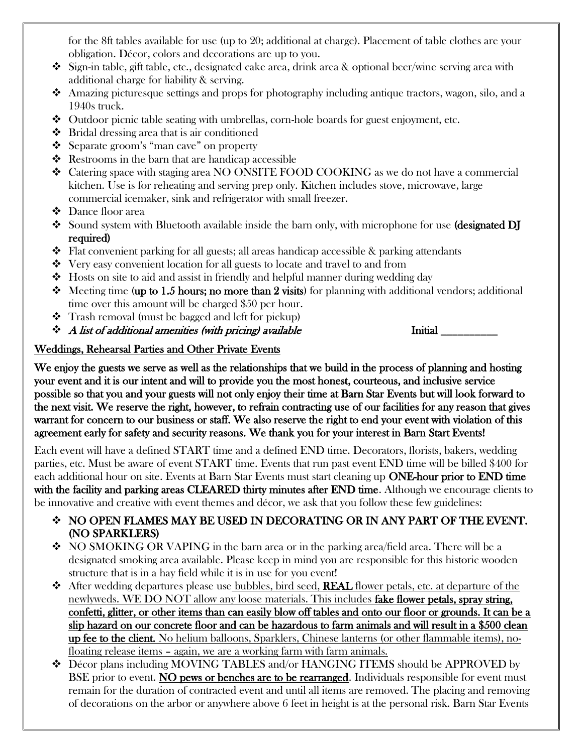for the 8ft tables available for use (up to 20; additional at charge). Placement of table clothes are your obligation. Décor, colors and decorations are up to you.

- $\clubsuit$  Sign-in table, gift table, etc., designated cake area, drink area & optional beer/wine serving area with additional charge for liability & serving.
- ❖ Amazing picturesque settings and props for photography including antique tractors, wagon, silo, and a 1940s truck.
- ❖ Outdoor picnic table seating with umbrellas, corn-hole boards for guest enjoyment, etc.
- ❖ Bridal dressing area that is air conditioned
- ❖ Separate groom's "man cave" on property
- ❖ Restrooms in the barn that are handicap accessible
- ❖ Catering space with staging area NO ONSITE FOOD COOKING as we do not have a commercial kitchen. Use is for reheating and serving prep only. Kitchen includes stove, microwave, large commercial icemaker, sink and refrigerator with small freezer.
- ❖ Dance floor area
- ❖ Sound system with Bluetooth available inside the barn only, with microphone for use (designated DJ required)
- $\bullet$  Flat convenient parking for all guests; all areas handicap accessible & parking attendants
- ❖ Very easy convenient location for all guests to locate and travel to and from
- ❖ Hosts on site to aid and assist in friendly and helpful manner during wedding day
- $\triangle$  Meeting time (up to 1.5 hours; no more than 2 visits) for planning with additional vendors; additional time over this amount will be charged \$50 per hour.
- ❖ Trash removal (must be bagged and left for pickup)
- $\clubsuit$  A list of additional amenities (with pricing) available  $\bullet$  Initial  $\bullet$

## Weddings, Rehearsal Parties and Other Private Events

We enjoy the guests we serve as well as the relationships that we build in the process of planning and hosting your event and it is our intent and will to provide you the most honest, courteous, and inclusive service possible so that you and your guests will not only enjoy their time at Barn Star Events but will look forward to the next visit. We reserve the right, however, to refrain contracting use of our facilities for any reason that gives warrant for concern to our business or staff. We also reserve the right to end your event with violation of this agreement early for safety and security reasons. We thank you for your interest in Barn Start Events!

Each event will have a defined START time and a defined END time. Decorators, florists, bakers, wedding parties, etc. Must be aware of event START time. Events that run past event END time will be billed \$400 for each additional hour on site. Events at Barn Star Events must start cleaning up **ONE-hour prior to END time** with the facility and parking areas CLEARED thirty minutes after END time. Although we encourage clients to be innovative and creative with event themes and décor, we ask that you follow these few guidelines:

### ❖ NO OPEN FLAMES MAY BE USED IN DECORATING OR IN ANY PART OF THE EVENT. (NO SPARKLERS)

- $\div$  NO SMOKING OR VAPING in the barn area or in the parking area/field area. There will be a designated smoking area available. Please keep in mind you are responsible for this historic wooden structure that is in a hay field while it is in use for you event!
- $\triangle$  After wedding departures please use bubbles, bird seed, **REAL** flower petals, etc. at departure of the newlyweds. WE DO NOT allow any loose materials. This includes fake flower petals, spray string, confetti, glitter, or other items than can easily blow off tables and onto our floor or grounds. It can be a slip hazard on our concrete floor and can be hazardous to farm animals and will result in a \$500 clean up fee to the client. No helium balloons, Sparklers, Chinese lanterns (or other flammable items), nofloating release items – again, we are a working farm with farm animals.
- ❖ Décor plans including MOVING TABLES and/or HANGING ITEMS should be APPROVED by BSE prior to event. NO pews or benches are to be rearranged. Individuals responsible for event must remain for the duration of contracted event and until all items are removed. The placing and removing of decorations on the arbor or anywhere above 6 feet in height is at the personal risk. Barn Star Events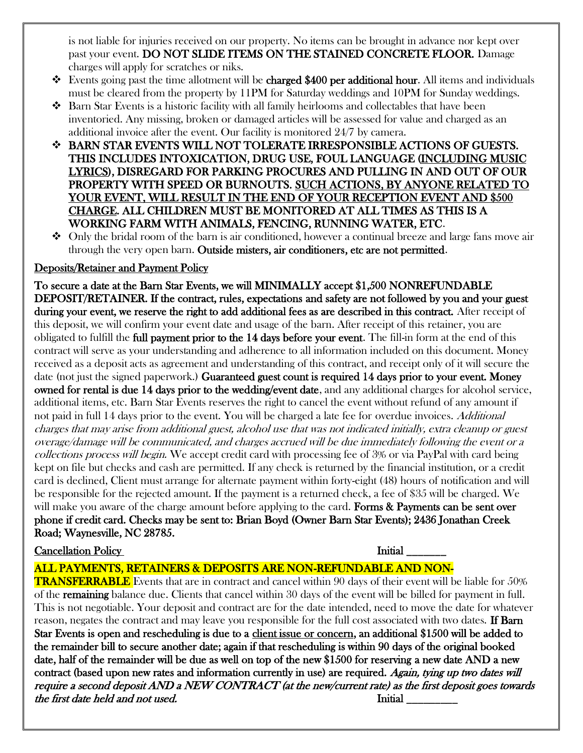is not liable for injuries received on our property. No items can be brought in advance nor kept over past your event. DO NOT SLIDE ITEMS ON THE STAINED CONCRETE FLOOR. Damage charges will apply for scratches or niks.

- ❖ Events going past the time allotment will be charged \$400 per additional hour. All items and individuals must be cleared from the property by 11PM for Saturday weddings and 10PM for Sunday weddings.
- ❖ Barn Star Events is a historic facility with all family heirlooms and collectables that have been inventoried. Any missing, broken or damaged articles will be assessed for value and charged as an additional invoice after the event. Our facility is monitored 24/7 by camera.
- ❖ BARN STAR EVENTS WILL NOT TOLERATE IRRESPONSIBLE ACTIONS OF GUESTS. THIS INCLUDES INTOXICATION, DRUG USE, FOUL LANGUAGE (INCLUDING MUSIC LYRICS), DISREGARD FOR PARKING PROCURES AND PULLING IN AND OUT OF OUR PROPERTY WITH SPEED OR BURNOUTS. SUCH ACTIONS, BY ANYONE RELATED TO YOUR EVENT, WILL RESULT IN THE END OF YOUR RECEPTION EVENT AND \$500 CHARGE. ALL CHILDREN MUST BE MONITORED AT ALL TIMES AS THIS IS A WORKING FARM WITH ANIMALS, FENCING, RUNNING WATER, ETC.
- ❖ Only the bridal room of the barn is air conditioned, however a continual breeze and large fans move air through the very open barn. Outside misters, air conditioners, etc are not permitted.

### Deposits/Retainer and Payment Policy

To secure a date at the Barn Star Events, we will MINIMALLY accept \$1,500 NONREFUNDABLE DEPOSIT/RETAINER. If the contract, rules, expectations and safety are not followed by you and your guest during your event, we reserve the right to add additional fees as are described in this contract. After receipt of this deposit, we will confirm your event date and usage of the barn. After receipt of this retainer, you are obligated to fulfill the full payment prior to the 14 days before your event. The fill-in form at the end of this contract will serve as your understanding and adherence to all information included on this document. Money received as a deposit acts as agreement and understanding of this contract, and receipt only of it will secure the date (not just the signed paperwork.) Guaranteed guest count is required 14 days prior to your event. Money owned for rental is due 14 days prior to the wedding/event date, and any additional charges for alcohol service, additional items, etc. Barn Star Events reserves the right to cancel the event without refund of any amount if not paid in full 14 days prior to the event. You will be charged a late fee for overdue invoices. Additional charges that may arise from additional guest, alcohol use that was not indicated initially, extra cleanup or guest overage/damage will be communicated, and charges accrued will be due immediately following the event or a collections process will begin. We accept credit card with processing fee of 3% or via PayPal with card being kept on file but checks and cash are permitted. If any check is returned by the financial institution, or a credit card is declined, Client must arrange for alternate payment within forty-eight (48) hours of notification and will be responsible for the rejected amount. If the payment is a returned check, a fee of \$35 will be charged. We will make you aware of the charge amount before applying to the card. Forms  $\&$  Payments can be sent over phone if credit card. Checks may be sent to: Brian Boyd (Owner Barn Star Events); 2436 Jonathan Creek Road; Waynesville, NC 28785.

### Cancellation Policy **Initial**

### ALL PAYMENTS, RETAINERS & DEPOSITS ARE NON-REFUNDABLE AND NON-

TRANSFERRABLE Events that are in contract and cancel within 90 days of their event will be liable for 50% of the remaining balance due. Clients that cancel within 30 days of the event will be billed for payment in full. This is not negotiable. Your deposit and contract are for the date intended, need to move the date for whatever reason, negates the contract and may leave you responsible for the full cost associated with two dates. If Barn Star Events is open and rescheduling is due to a client issue or concern, an additional \$1500 will be added to the remainder bill to secure another date; again if that rescheduling is within 90 days of the original booked date, half of the remainder will be due as well on top of the new \$1500 for reserving a new date AND a new contract (based upon new rates and information currently in use) are required. Again, tying up two dates will require a second deposit AND a NEW CONTRACT (at the new/current rate) as the first deposit goes towards the first date held and not used. Initial discussed in the set of the set of the set of the set of the set of t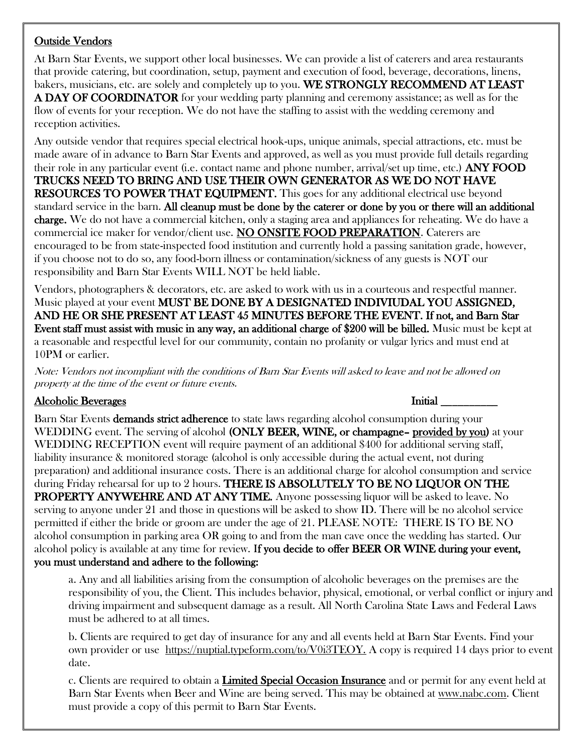# Outside Vendors

At Barn Star Events, we support other local businesses. We can provide a list of caterers and area restaurants that provide catering, but coordination, setup, payment and execution of food, beverage, decorations, linens, bakers, musicians, etc. are solely and completely up to you. WE STRONGLY RECOMMEND AT LEAST **A DAY OF COORDINATOR** for your wedding party planning and ceremony assistance; as well as for the flow of events for your reception. We do not have the staffing to assist with the wedding ceremony and reception activities.

Any outside vendor that requires special electrical hook-ups, unique animals, special attractions, etc. must be made aware of in advance to Barn Star Events and approved, as well as you must provide full details regarding their role in any particular event (i.e. contact name and phone number, arrival/set up time, etc.) **ANY FOOD** 

TRUCKS NEED TO BRING AND USE THEIR OWN GENERATOR AS WE DO NOT HAVE RESOURCES TO POWER THAT EQUIPMENT. This goes for any additional electrical use beyond standard service in the barn. All cleanup must be done by the caterer or done by you or there will an additional charge. We do not have a commercial kitchen, only a staging area and appliances for reheating. We do have a commercial ice maker for vendor/client use. NO ONSITE FOOD PREPARATION. Caterers are encouraged to be from state-inspected food institution and currently hold a passing sanitation grade, however, if you choose not to do so, any food-born illness or contamination/sickness of any guests is NOT our responsibility and Barn Star Events WILL NOT be held liable.

Vendors, photographers & decorators, etc. are asked to work with us in a courteous and respectful manner. Music played at your event MUST BE DONE BY A DESIGNATED INDIVIUDAL YOU ASSIGNED, AND HE OR SHE PRESENT AT LEAST 45 MINUTES BEFORE THE EVENT. If not, and Barn Star Event staff must assist with music in any way, an additional charge of \$200 will be billed. Music must be kept at a reasonable and respectful level for our community, contain no profanity or vulgar lyrics and must end at 10PM or earlier.

Note: Vendors not incompliant with the conditions of Barn Star Events will asked to leave and not be allowed on property at the time of the event or future events.

### Alcoholic Beverages **Initial**

Barn Star Events demands strict adherence to state laws regarding alcohol consumption during your WEDDING event. The serving of alcohol (ONLY BEER, WINE, or champagne- provided by you) at your WEDDING RECEPTION event will require payment of an additional \$400 for additional serving staff, liability insurance & monitored storage (alcohol is only accessible during the actual event, not during preparation) and additional insurance costs. There is an additional charge for alcohol consumption and service during Friday rehearsal for up to 2 hours. THERE IS ABSOLUTELY TO BE NO LIQUOR ON THE PROPERTY ANYWEHRE AND AT ANY TIME. Anyone possessing liquor will be asked to leave. No serving to anyone under 21 and those in questions will be asked to show ID. There will be no alcohol service permitted if either the bride or groom are under the age of 21. PLEASE NOTE: THERE IS TO BE NO alcohol consumption in parking area OR going to and from the man cave once the wedding has started. Our alcohol policy is available at any time for review. If you decide to offer BEER OR WINE during your event, you must understand and adhere to the following:

a. Any and all liabilities arising from the consumption of alcoholic beverages on the premises are the responsibility of you, the Client. This includes behavior, physical, emotional, or verbal conflict or injury and driving impairment and subsequent damage as a result. All North Carolina State Laws and Federal Laws must be adhered to at all times.

b. Clients are required to get day of insurance for any and all events held at Barn Star Events. Find your own provider or use <https://nuptial.typeform.com/to/V0i3TEOY.> A copy is required 14 days prior to event date.

c. Clients are required to obtain a Limited Special Occasion Insurance and or permit for any event held at Barn Star Events when Beer and Wine are being served. This may be obtained at [www.nabc.com.](http://www.nabc.com/) Client must provide a copy of this permit to Barn Star Events.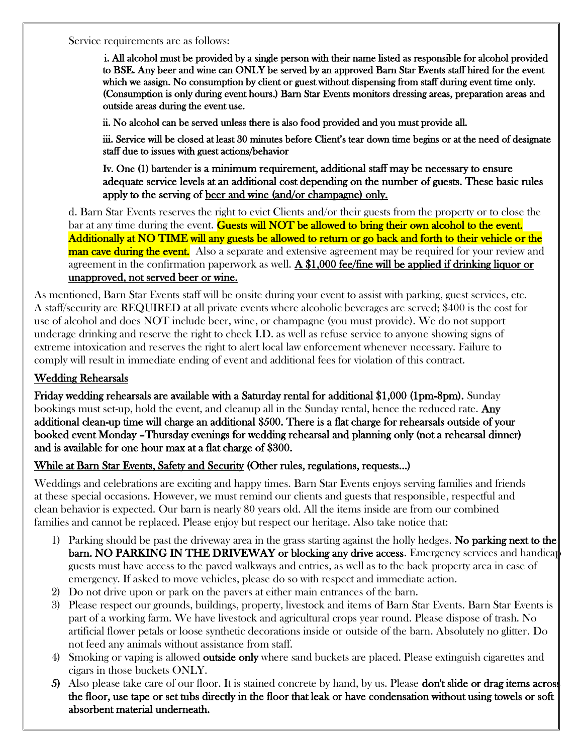Service requirements are as follows:

i. All alcohol must be provided by a single person with their name listed as responsible for alcohol provided to BSE. Any beer and wine can ONLY be served by an approved Barn Star Events staff hired for the event which we assign. No consumption by client or guest without dispensing from staff during event time only. (Consumption is only during event hours.) Barn Star Events monitors dressing areas, preparation areas and outside areas during the event use.

ii. No alcohol can be served unless there is also food provided and you must provide all.

iii. Service will be closed at least 30 minutes before Client's tear down time begins or at the need of designate staff due to issues with guest actions/behavior

Iv. One (1) bartender is a minimum requirement, additional staff may be necessary to ensure adequate service levels at an additional cost depending on the number of guests. These basic rules apply to the serving of beer and wine (and/or champagne) only.

d. Barn Star Events reserves the right to evict Clients and/or their guests from the property or to close the bar at any time during the event. Guests will NOT be allowed to bring their own alcohol to the event. Additionally at NO TIME will any guests be allowed to return or go back and forth to their vehicle or the man cave during the event. Also a separate and extensive agreement may be required for your review and agreement in the confirmation paperwork as well.  $\mathbf{A}$  \$1,000 fee/fine will be applied if drinking liquor or unapproved, not served beer or wine.

As mentioned, Barn Star Events staff will be onsite during your event to assist with parking, guest services, etc. A staff/security are REQUIRED at all private events where alcoholic beverages are served; \$400 is the cost for use of alcohol and does NOT include beer, wine, or champagne (you must provide). We do not support underage drinking and reserve the right to check I.D. as well as refuse service to anyone showing signs of extreme intoxication and reserves the right to alert local law enforcement whenever necessary. Failure to comply will result in immediate ending of event and additional fees for violation of this contract.

# Wedding Rehearsals

Friday wedding rehearsals are available with a Saturday rental for additional \$1,000 (1pm-8pm). Sunday bookings must set-up, hold the event, and cleanup all in the Sunday rental, hence the reduced rate. Any additional clean-up time will charge an additional \$500. There is a flat charge for rehearsals outside of your booked event Monday –Thursday evenings for wedding rehearsal and planning only (not a rehearsal dinner) and is available for one hour max at a flat charge of \$300.

### While at Barn Star Events, Safety and Security (Other rules, regulations, requests…)

Weddings and celebrations are exciting and happy times. Barn Star Events enjoys serving families and friends at these special occasions. However, we must remind our clients and guests that responsible, respectful and clean behavior is expected. Our barn is nearly 80 years old. All the items inside are from our combined families and cannot be replaced. Please enjoy but respect our heritage. Also take notice that:

- 1) Parking should be past the driveway area in the grass starting against the holly hedges. No parking next to the barn. NO PARKING IN THE DRIVEWAY or blocking any drive access. Emergency services and handicap guests must have access to the paved walkways and entries, as well as to the back property area in case of emergency. If asked to move vehicles, please do so with respect and immediate action.
- 2) Do not drive upon or park on the pavers at either main entrances of the barn.
- 3) Please respect our grounds, buildings, property, livestock and items of Barn Star Events. Barn Star Events is part of a working farm. We have livestock and agricultural crops year round. Please dispose of trash. No artificial flower petals or loose synthetic decorations inside or outside of the barn. Absolutely no glitter. Do not feed any animals without assistance from staff.
- 4) Smoking or vaping is allowed **outside only** where sand buckets are placed. Please extinguish cigarettes and cigars in those buckets ONLY.
- 5) Also please take care of our floor. It is stained concrete by hand, by us. Please don't slide or drag items across the floor, use tape or set tubs directly in the floor that leak or have condensation without using towels or soft absorbent material underneath.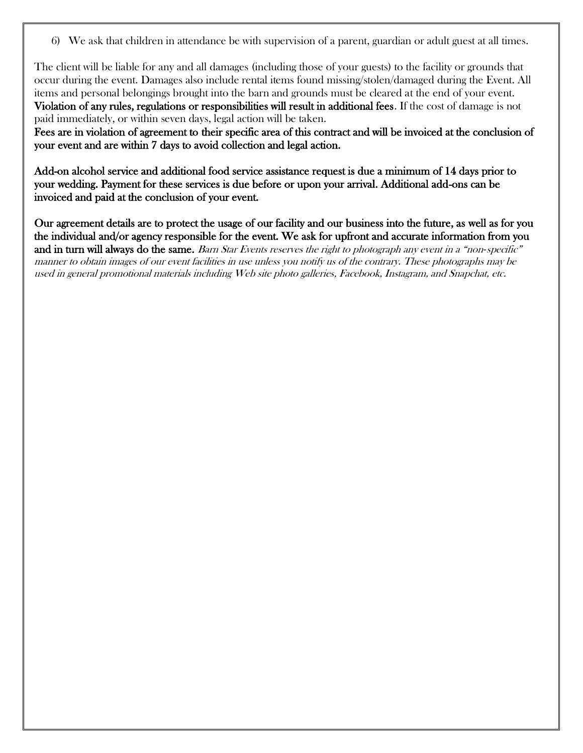6) We ask that children in attendance be with supervision of a parent, guardian or adult guest at all times.

The client will be liable for any and all damages (including those of your guests) to the facility or grounds that occur during the event. Damages also include rental items found missing/stolen/damaged during the Event. All items and personal belongings brought into the barn and grounds must be cleared at the end of your event. Violation of any rules, regulations or responsibilities will result in additional fees. If the cost of damage is not paid immediately, or within seven days, legal action will be taken.

Fees are in violation of agreement to their specific area of this contract and will be invoiced at the conclusion of your event and are within 7 days to avoid collection and legal action.

Add-on alcohol service and additional food service assistance request is due a minimum of 14 days prior to your wedding. Payment for these services is due before or upon your arrival. Additional add-ons can be invoiced and paid at the conclusion of your event.

Our agreement details are to protect the usage of our facility and our business into the future, as well as for you the individual and/or agency responsible for the event. We ask for upfront and accurate information from you and in turn will always do the same. Barn Star Events reserves the right to photograph any event in a "non*‐*specific" manner to obtain images of our event facilities in use unless you notify us of the contrary. These photographs may be used in general promotional materials including Web site photo galleries, Facebook, Instagram, and Snapchat, etc.